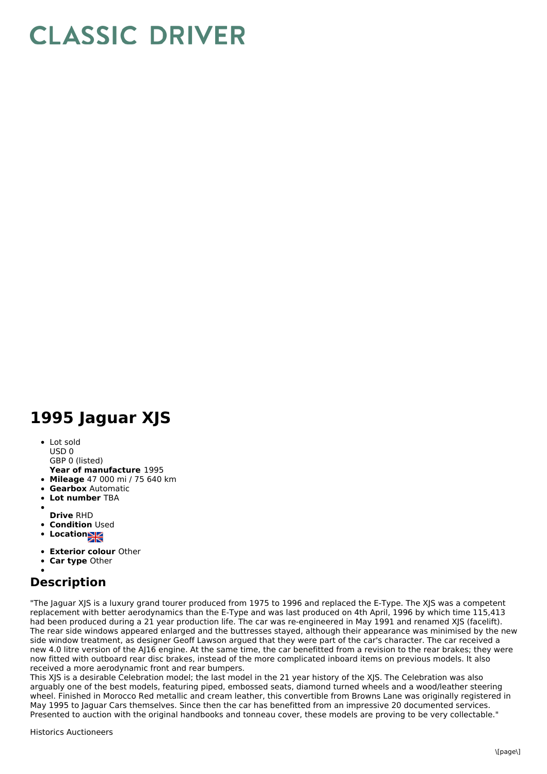## **CLASSIC DRIVER**

## **1995 Jaguar XJS**

• Lot sold USD 0

GBP 0 (listed)

- **Year of manufacture** 1995
- **Mileage** 47 000 mi / 75 640 km
- **Gearbox** Automatic
- $\bullet$ **Lot number** TBA
- 
- **Drive** RHD
- **Condition Used**
- **Locations**
- **Exterior colour** Other
- **Car type** Other

## **Description**

"The Jaguar XJS is a luxury grand tourer produced from 1975 to 1996 and replaced the E-Type. The XJS was a competent replacement with better aerodynamics than the E-Type and was last produced on 4th April, 1996 by which time 115,413 had been produced during a 21 year production life. The car was re-engineered in May 1991 and renamed XJS (facelift). The rear side windows appeared enlarged and the buttresses stayed, although their appearance was minimised by the new side window treatment, as designer Geoff Lawson argued that they were part of the car's character. The car received a new 4.0 litre version of the AJ16 engine. At the same time, the car benefitted from a revision to the rear brakes; they were now fitted with outboard rear disc brakes, instead of the more complicated inboard items on previous models. It also received a more aerodynamic front and rear bumpers.

This XJS is a desirable Celebration model; the last model in the 21 year history of the XJS. The Celebration was also arguably one of the best models, featuring piped, embossed seats, diamond turned wheels and a wood/leather steering wheel. Finished in Morocco Red metallic and cream leather, this convertible from Browns Lane was originally registered in May 1995 to Jaguar Cars themselves. Since then the car has benefitted from an impressive 20 documented services. Presented to auction with the original handbooks and tonneau cover, these models are proving to be very collectable."